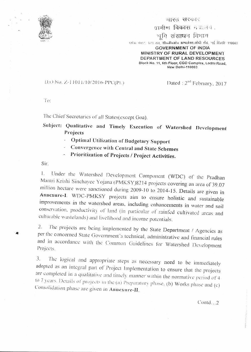

## <u>सारत सरकार</u>

यामीण विकास मंत्रालय.

वमि संसाधन विभाग

स्तॉक मेंठा!, फ्टा तल, **सीठजी०ओ० कम्पलेक्स,लोधी रोड, नई दिल्ली-110003 GOVERNMENT OF INDIA** 

MINISTRY OF RURAL DEVELOPMENT DEPARTMENT OF LAND RESOURCES Block No. 11, 6th Floor, CGO Complex, Lodhi Road.

New Delhi-110003

## D.O No. Z-11011/10/2016-PPC(Pt.)

Dated :  $2<sup>nd</sup>$  February, 2017

To:

The Chief Secretaries of all States(except Goa).

Subject: Qualitative and Timely Execution of Watershed Development Projects

- **Optimal Utilization of Budgetary Support**  $\omega_{\rm{eff}}$
- Convergence with Central and State Schemes
- Prioritization of Projects / Project Activities.

Sir.

Under the Watershed Development Component (WDC) of the Pradhan  $1_{-}$ Mantri Krishi Sinchayee Yojana (PMKSY)8214 projects covering an area of 39.07 million hectare were sanctioned during 2009-10 to 2014-15. Details are given in Annexure-I. WDC-PMKSY projects aim to ensure holistic and sustainable improvements in the watershed areas, including enhancements in water and soil conservation, productivity of land (in particular of rainfed cultivated areas and culturable wastelands) and livelihood and income potentials.

The projects are being implemented by the State Department / Agencies as  $2.$ per the concerned State Government's technical, administrative and financial rules and in accordance with the Common Guidelines for Watershed Development Projects.

The logical and appropriate steps as necessary need to be immediately  $\overline{3}$ . adopted as an integral part of Project Implementation to ensure that the projects are completed in a qualitative and timely manner within the normative period of 4 to 7 years. Details of projects in the (a) Preparatory phase, (b) Works phase and (c) Consolidation phase are given in Annexure-II.

 $Contd. . . 2$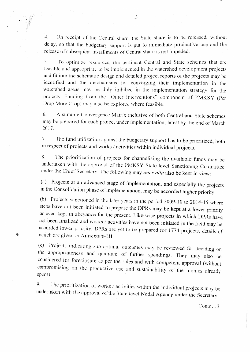$\overline{4}$ . On receipt of the Central share, the State share is to be released, without delay, so that the budgetary support is put to immediate productive use and the release of subsequent installments of Central share is not impeded.

 $5.$ To optimize resources, the pertinent Central and State schemes that are feasible and appropriate to be implemented in the watershed development projects and fit into the schematic design and detailed project reports of the projects may be identified and the mechanisms for converging their implementation in the watershed areas may be duly imbibed in the implementation strategy for the projects. Funding from the "Other Interventions" component of PMKSY (Per Drop More Crop) may also be explored where feasible.

6. A suitable Convergence Matrix inclusive of both Central and State schemes may be prepared for each project under implementation, latest by the end of March 2017.

The fund utilization against the budgetary support has to be prioritized, both  $7<sub>1</sub>$ in respect of projects and works / activities within individual projects.

The prioritization of projects for channelizing the available funds may be 8. undertaken with the approval of the PMKSY State-level Sanctioning Committee under the Chief Secretary. The following may inter alia also be kept in view:

Projects at an advanced stage of implementation, and especially the projects  $(a)$ in the Consolidation phase of implementation, may be accorded higher priority.

(b) Projects sanctioned in the later years in the period 2009-10 to 2014-15 where steps have not been initiated to prepare the DPRs may be kept at a lower priority or even kept in abeyance for the present. Like-wise projects in which DPRs have not been finalized and works / activities have not been initiated in the field may be accorded lower priority. DPRs are yet to be prepared for 1774 projects, details of which are given in Annexure-III.

鉴

(c) Projects indicating sub-optimal outcomes may be reviewed for deciding on the appropriateness and quantum of further spendings. They may also be considered for foreclosure as per the rules and with competent approval (without compromising on the productive use and sustainability of the monies already spent).

9. The prioritization of works / activities within the individual projects may be undertaken with the approval of the State level Nodal Agency under the Secretary

Contd... $3$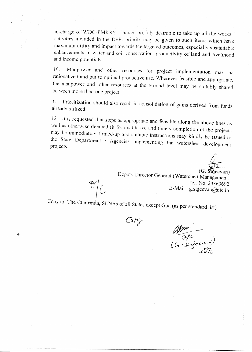in-charge of WDC-PMKSY. Though broadly desirable to take up all the works activities included in the DPR. priority may be given to such items which have maximum utility and impact towards the targeted outcomes, especially sustainable enhancements in water and soil conservation, productivity of land and livelihood and income potentials.

Manpower and other resources for project implementation may be 10. rationalized and put to optimal productive use. Wherever feasible and appropriate. the manpower and other resources at the ground level may be suitably shared between more than one project.

11. Prioritization should also result in consolidation of gains derived from funds already utilized.

12. It is requested that steps as appropriate and feasible along the above lines as well as otherwise deemed fit for qualitative and timely completion of the projects may be immediately firmed-up and suitable instructions may kindly be issued to the State Department / Agencies implementing the watershed development projects.

 $\overline{\mathbb{R}^2}$ <br>(G. Sajeevan)

Deputy Director General (Watershed Management) Tel. No. 24360692 E-Mail: g.sajeevan@nic.in

Copy to: The Chairman, SLNAs of all States except Goa (as per standard list).

Copy

Æ

 $\begin{array}{c}\n\text{A from} \\
\hline\n\frac{1}{2}f^2\n\end{array}$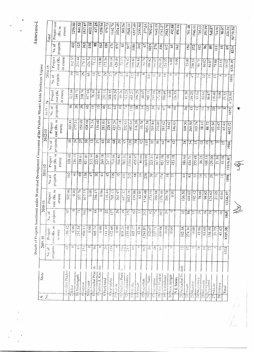| 2290.00<br>4022.19<br>437,25<br>1517.87<br>1259.94<br>979.73<br>3324.45<br>1142.70<br>589.54<br>6517.49<br>2191.50<br>3568.11<br>377.61<br>1643.19<br>1742.27<br>3583.70<br>492.88<br>7892.61<br>896.16<br>701.48<br>735.13<br>351.99<br>$R5$ . in<br>560.87<br>1946.11<br>50739.58<br>98.07<br>crore)<br>714.91<br>320.3<br>Total<br>projects<br>432<br>123<br>610<br>88<br>263<br>163<br>159<br>$N_{0.}$ of<br>$\mathbf{3}$<br>517<br>$\Xi$<br>571<br>1186<br>310<br>67<br>1025<br>270<br>330<br>612<br>S<br>$\overline{3}$<br>156<br>372<br>$\Xi$<br>$\frac{8}{2}$<br>$\frac{3}{2}$<br>$\overline{5}$<br>$\Xi$<br>$\frac{5}{6}$<br>8214<br>30237<br>cost (Rs.<br>234.44<br>Project<br>in crore)<br>426.74<br>170.11<br>71.13<br>118.88<br>175.56<br>200.04<br>428.00<br>72.27<br>556.42<br>696.60<br>986.62<br>296.84<br>$\frac{1}{24}$<br>191.62<br>260.45<br>354.37<br>6.00<br>0.00<br>75.00<br>258.33<br>90.75<br>60.82<br>84.87<br>79.80<br>23.55<br>66.02<br>6336.39<br>under Watershed Development Component of the Pradhan Mantri Krishi Sinchayee Yojana<br>2014-15<br>59<br>S<br>26<br>$\ddot{\circ}$<br>$\Box$<br>Ē<br>$\mathbb{R}$<br>38<br>$\tilde{\mathcal{L}}$<br>$\mathbb{Z}$<br>$\frac{2}{2}$<br>ುಂ<br>$\frac{8}{3}$<br>projects<br>$\overline{\mathbf{z}}$<br>$\frac{1}{2}$<br>Ξ<br>$\widetilde{\mathcal{L}}$<br>$\frac{30}{20}$<br>င<br>ఐ<br>$\stackrel{\circ}{=}$<br>$\ddot{4}$<br>$\Box$<br>$\Xi$<br>No. of<br>1010<br>≘<br>T<br>$\circ$<br>322.66<br>$\tilde{E}$<br>218.76<br>417.04<br>251.14<br>208.55<br>Project<br>in crore)<br>76.44<br>419.29<br>69.26<br>cost (Rs)<br>105.91<br>513.23<br>299.25<br>30.07<br>235.16<br>274.38<br>665.21<br>993.111<br>399.69<br>226.35<br>0.00<br>249.25<br>91.50<br>93.04<br>86.67<br>119.40<br>0.00<br>53.61<br>$\frac{5}{2}$<br>6721.91<br>199.<br>projects<br>56<br>$\tilde{\mathcal{S}}$<br>59<br>$\mathcal{S}$<br>$\overline{\omega}$<br>$\tilde{\mathbf{z}}$<br>$\frac{4}{6}$<br>$\mathcal{V}_t$<br>$\overline{0}$<br>S<br>$\mathbb{C}$<br>116<br>$\overline{38}$<br>135<br>I<br>$N\alpha,\,\alpha f$<br>$\mathfrak{Z}$<br>0<br>पू<br>$\frac{1}{\sqrt{2}}$<br>67<br>$\overline{26}$<br>$\ddot{3}$<br>$\mathbf{r}$<br>İ<br>20<br>$\circ$<br>œ<br>≕<br>1051<br>2013<br>cost (Rs. in<br>159.09<br>408.68<br>150.08<br>283.85<br>228.95<br>425.29<br>74.24<br>137.18<br>252.63<br>682.64<br>316.39<br>55.78<br>1051.58<br>17721<br>205.84<br>210.89<br>303.81<br>381.62<br>$\mathfrak{S}$<br>246.63<br>109.50<br>265.50<br>103.74<br>88.72<br>103.50<br> 0.42 <br>6612.12<br>Project<br>65.43<br>58.31<br>error)<br>र्ज़<br>2012-13<br>projects<br>56<br>$\frac{1}{2}$<br>$\frac{5}{7}$<br>59<br>$\mathbf{r}$<br>$\mathbb{G}$<br>50<br>68<br>$\overline{20}$<br>$\overline{57}$<br>$\overline{30}$<br>$\overline{39}$<br>$\overline{z}$<br>$\mathbf{r}$<br>$\frac{45}{3}$<br>No.of<br>$\mathfrak{Z}$<br>$\frac{6}{5}$<br>50<br>$\frac{1}{2}$<br>$\mathfrak{F}$<br>$\frac{3}{2}$<br>$\overline{5}$<br>द्र<br>$\overline{5}$<br>$\overline{15}$<br>$\overline{1}$<br>$n +$<br>$\overline{1}$<br>1066<br>cost (Rs. in<br>528.68<br>230.15<br>921.85<br>222.86<br>269.18<br>215.44<br>$\frac{247.33}{2}$<br>358.61<br>714.06<br>106.86<br>1194.80<br>80.66<br>783.30<br>455.97<br>819.99<br>367.86<br>951.58<br>423.18<br>142.48<br>325.31<br>186.60<br>255.48<br>56.25<br>29.00<br>454.71<br>108.14<br>21.30<br>∞<br>Project<br>11616.81<br>error)<br>$\frac{1}{2}$<br>$\tilde{5}$<br>102<br>$\frac{1}{2}$<br>$\mathcal{S}^{\circ}$<br>138<br>$\mathcal{S}$<br>$\frac{45}{5}$<br>$\ddot{r}$<br>$\frac{6}{1}$<br>$\overline{5}$<br>$\frac{1}{4}$<br>215<br>projects<br>$\frac{8}{6}$<br>E<br>229<br>$\equiv$<br>56<br>$\frac{8}{1}$<br>$\vec{r}$<br>77<br>$\overline{\mathbf{3}}$<br>$\overline{r}$<br>$\overline{4}$<br>$\mathfrak{L}$<br>$\vec{r}$<br>$\mathbb{Z}$<br>$\overline{20}$<br>$\overline{\phantom{a}}$<br>1898<br>$\tilde{c}$<br>ż<br>502.06<br>0.00<br>ΣĆ<br>917.77<br>0.00<br>356.47<br>705.13<br>657.32<br>2023.16<br>419.88<br>cost (Rs. in<br>0.00<br>116.44<br>203.97<br>63.95<br>1746.48<br>373.19<br>390.98<br>1076.46<br>295.78<br>0.00<br>136.50<br>192.12<br>444.02<br>78.00<br>24.62<br>21.05<br>98.82<br>45.04<br>11346.97<br>Project<br>crore)<br>57.<br>$\overline{a}$<br>$\mathfrak{D}$<br>ئیے<br>5<br>⊃<br>$\circ$<br>$2\overline{2}$<br>$\overline{56}$<br>0<br>국<br>$\mathfrak{S}$<br>$\overline{12}$<br>G<br>$\mathbb{Z}$<br>projects<br>$\overline{P}$<br>370<br>213<br>$\mathbb{S}$<br>$\frac{1}{\sqrt{2}}$<br>$\overline{59}$<br>⇨<br>$\overline{32}$<br>86<br>$\overline{183}$<br>$\mathbb{E}$<br>हि<br>Ξ<br>$\overline{6}$<br>$\overline{5}$<br>$\Xi$<br>S<br>1865<br>$N_0$ , of<br>projects cost (Rs. in<br>330.42<br>0.00<br>141.39<br>253.54<br>930.11<br>$0.00\,$<br>305.74<br>0,00<br>632.68<br>$\frac{1}{2}$<br>255.08<br>103.17<br>$\overline{\mathbb{C}}$<br>42.36<br>1294.83<br>312.07<br>0.00<br>86.611<br>0.00<br>102.38<br>274.30<br>0.00<br>93.65<br>45.00<br>158.59<br>21.75<br>45.42<br>8105.38<br>$\overline{\Gamma}$<br>Project<br>erore)<br>SO <sub>5</sub><br>237.<br>$2009 - 10$<br>$\mathbb{C}^1$<br>Φ<br>0<br>$\tilde{\mathfrak{H}}$<br>$\circ$<br>$\mathfrak{D}$<br>Φ<br>$\frac{5}{11}$<br>$\Xi$<br>Ğ,<br>Ф<br>162<br>$\overline{\varphi_i}$<br>$\frac{1}{10}$<br>휴 <br>Ķ<br>Ś<br>Φ<br>Φ<br>Ę<br>$\tilde{=}$<br>$\tilde{\Sigma}$<br>¢<br>$\approx$<br>$\overline{\mathbb{C}}$<br>m,<br>Ξ<br>$\mathbb{S}^*$<br>Na. of<br>1324<br>ś<br>Έ<br>줐<br>Andhra Pradesi<br>6 Himachal Prad<br>$7$ Jummu & Kas<br>State<br>H Nadhya Prade<br>$21$  Arumachal P $\tau$<br>18 Litter Pradesh<br>3 Chhanisgarh<br>12 Maharashtra<br>20 West Bengal<br>19  Tuarakhand<br>16 Tanuil Nadu<br><b>States</b><br><b>S</b> Iharkhand<br>$17$ [1elangama |  | Details of Projects Sanctioned |  |  |  |  |  | Annexure-J   |
|---------------------------------------------------------------------------------------------------------------------------------------------------------------------------------------------------------------------------------------------------------------------------------------------------------------------------------------------------------------------------------------------------------------------------------------------------------------------------------------------------------------------------------------------------------------------------------------------------------------------------------------------------------------------------------------------------------------------------------------------------------------------------------------------------------------------------------------------------------------------------------------------------------------------------------------------------------------------------------------------------------------------------------------------------------------------------------------------------------------------------------------------------------------------------------------------------------------------------------------------------------------------------------------------------------------------------------------------------------------------------------------------------------------------------------------------------------------------------------------------------------------------------------------------------------------------------------------------------------------------------------------------------------------------------------------------------------------------------------------------------------------------------------------------------------------------------------------------------------------------------------------------------------------------------------------------------------------------------------------------------------------------------------------------------------------------------------------------------------------------------------------------------------------------------------------------------------------------------------------------------------------------------------------------------------------------------------------------------------------------------------------------------------------------------------------------------------------------------------------------------------------------------------------------------------------------------------------------------------------------------------------------------------------------------------------------------------------------------------------------------------------------------------------------------------------------------------------------------------------------------------------------------------------------------------------------------------------------------------------------------------------------------------------------------------------------------------------------------------------------------------------------------------------------------------------------------------------------------------------------------------------------------------------------------------------------------------------------------------------------------------------------------------------------------------------------------------------------------------------------------------------------------------------------------------------------------------------------------------------------------------------------------------------------------------------------------------------------------------------------------------------------------------------------------------------------------------------------------------------------------------------------------------------------------------------------------------------------------------------------------------------------------------------------------------------------------------------------------------------------------------------------------------------------------------------------------------------------------------------------------------------------------------------------------------------------------------------------------------------------------------------------------------------------------------------------------------------------------------------------------------------------------------------------------------------------------------------------------------------------------------------------------------------------------------------------------------------------------------------------------------------------------------------------------------------------------------------------------------------------------------------------------------------------------------------------------------------------------------------------------------------------------------------------------------------------------------------------------------------------------------------------------------------------------------------------------------------------------------------------------------------------------------------------------------------------------------------------------------------------------------------------------------------------------------------------------------------------------------------------------------------------------------------------------------------------------------------------------------------------------------------------------------------------------------------------------------------------------------------------------------------|--|--------------------------------|--|--|--|--|--|--------------|
|                                                                                                                                                                                                                                                                                                                                                                                                                                                                                                                                                                                                                                                                                                                                                                                                                                                                                                                                                                                                                                                                                                                                                                                                                                                                                                                                                                                                                                                                                                                                                                                                                                                                                                                                                                                                                                                                                                                                                                                                                                                                                                                                                                                                                                                                                                                                                                                                                                                                                                                                                                                                                                                                                                                                                                                                                                                                                                                                                                                                                                                                                                                                                                                                                                                                                                                                                                                                                                                                                                                                                                                                                                                                                                                                                                                                                                                                                                                                                                                                                                                                                                                                                                                                                                                                                                                                                                                                                                                                                                                                                                                                                                                                                                                                                                                                                                                                                                                                                                                                                                                                                                                                                                                                                                                                                                                                                                                                                                                                                                                                                                                                                                                                                                                                                               |  |                                |  |  |  |  |  |              |
|                                                                                                                                                                                                                                                                                                                                                                                                                                                                                                                                                                                                                                                                                                                                                                                                                                                                                                                                                                                                                                                                                                                                                                                                                                                                                                                                                                                                                                                                                                                                                                                                                                                                                                                                                                                                                                                                                                                                                                                                                                                                                                                                                                                                                                                                                                                                                                                                                                                                                                                                                                                                                                                                                                                                                                                                                                                                                                                                                                                                                                                                                                                                                                                                                                                                                                                                                                                                                                                                                                                                                                                                                                                                                                                                                                                                                                                                                                                                                                                                                                                                                                                                                                                                                                                                                                                                                                                                                                                                                                                                                                                                                                                                                                                                                                                                                                                                                                                                                                                                                                                                                                                                                                                                                                                                                                                                                                                                                                                                                                                                                                                                                                                                                                                                                               |  |                                |  |  |  |  |  |              |
|                                                                                                                                                                                                                                                                                                                                                                                                                                                                                                                                                                                                                                                                                                                                                                                                                                                                                                                                                                                                                                                                                                                                                                                                                                                                                                                                                                                                                                                                                                                                                                                                                                                                                                                                                                                                                                                                                                                                                                                                                                                                                                                                                                                                                                                                                                                                                                                                                                                                                                                                                                                                                                                                                                                                                                                                                                                                                                                                                                                                                                                                                                                                                                                                                                                                                                                                                                                                                                                                                                                                                                                                                                                                                                                                                                                                                                                                                                                                                                                                                                                                                                                                                                                                                                                                                                                                                                                                                                                                                                                                                                                                                                                                                                                                                                                                                                                                                                                                                                                                                                                                                                                                                                                                                                                                                                                                                                                                                                                                                                                                                                                                                                                                                                                                                               |  |                                |  |  |  |  |  | Project cost |
|                                                                                                                                                                                                                                                                                                                                                                                                                                                                                                                                                                                                                                                                                                                                                                                                                                                                                                                                                                                                                                                                                                                                                                                                                                                                                                                                                                                                                                                                                                                                                                                                                                                                                                                                                                                                                                                                                                                                                                                                                                                                                                                                                                                                                                                                                                                                                                                                                                                                                                                                                                                                                                                                                                                                                                                                                                                                                                                                                                                                                                                                                                                                                                                                                                                                                                                                                                                                                                                                                                                                                                                                                                                                                                                                                                                                                                                                                                                                                                                                                                                                                                                                                                                                                                                                                                                                                                                                                                                                                                                                                                                                                                                                                                                                                                                                                                                                                                                                                                                                                                                                                                                                                                                                                                                                                                                                                                                                                                                                                                                                                                                                                                                                                                                                                               |  |                                |  |  |  |  |  |              |
|                                                                                                                                                                                                                                                                                                                                                                                                                                                                                                                                                                                                                                                                                                                                                                                                                                                                                                                                                                                                                                                                                                                                                                                                                                                                                                                                                                                                                                                                                                                                                                                                                                                                                                                                                                                                                                                                                                                                                                                                                                                                                                                                                                                                                                                                                                                                                                                                                                                                                                                                                                                                                                                                                                                                                                                                                                                                                                                                                                                                                                                                                                                                                                                                                                                                                                                                                                                                                                                                                                                                                                                                                                                                                                                                                                                                                                                                                                                                                                                                                                                                                                                                                                                                                                                                                                                                                                                                                                                                                                                                                                                                                                                                                                                                                                                                                                                                                                                                                                                                                                                                                                                                                                                                                                                                                                                                                                                                                                                                                                                                                                                                                                                                                                                                                               |  |                                |  |  |  |  |  |              |
|                                                                                                                                                                                                                                                                                                                                                                                                                                                                                                                                                                                                                                                                                                                                                                                                                                                                                                                                                                                                                                                                                                                                                                                                                                                                                                                                                                                                                                                                                                                                                                                                                                                                                                                                                                                                                                                                                                                                                                                                                                                                                                                                                                                                                                                                                                                                                                                                                                                                                                                                                                                                                                                                                                                                                                                                                                                                                                                                                                                                                                                                                                                                                                                                                                                                                                                                                                                                                                                                                                                                                                                                                                                                                                                                                                                                                                                                                                                                                                                                                                                                                                                                                                                                                                                                                                                                                                                                                                                                                                                                                                                                                                                                                                                                                                                                                                                                                                                                                                                                                                                                                                                                                                                                                                                                                                                                                                                                                                                                                                                                                                                                                                                                                                                                                               |  |                                |  |  |  |  |  |              |
|                                                                                                                                                                                                                                                                                                                                                                                                                                                                                                                                                                                                                                                                                                                                                                                                                                                                                                                                                                                                                                                                                                                                                                                                                                                                                                                                                                                                                                                                                                                                                                                                                                                                                                                                                                                                                                                                                                                                                                                                                                                                                                                                                                                                                                                                                                                                                                                                                                                                                                                                                                                                                                                                                                                                                                                                                                                                                                                                                                                                                                                                                                                                                                                                                                                                                                                                                                                                                                                                                                                                                                                                                                                                                                                                                                                                                                                                                                                                                                                                                                                                                                                                                                                                                                                                                                                                                                                                                                                                                                                                                                                                                                                                                                                                                                                                                                                                                                                                                                                                                                                                                                                                                                                                                                                                                                                                                                                                                                                                                                                                                                                                                                                                                                                                                               |  |                                |  |  |  |  |  | 841.53       |
|                                                                                                                                                                                                                                                                                                                                                                                                                                                                                                                                                                                                                                                                                                                                                                                                                                                                                                                                                                                                                                                                                                                                                                                                                                                                                                                                                                                                                                                                                                                                                                                                                                                                                                                                                                                                                                                                                                                                                                                                                                                                                                                                                                                                                                                                                                                                                                                                                                                                                                                                                                                                                                                                                                                                                                                                                                                                                                                                                                                                                                                                                                                                                                                                                                                                                                                                                                                                                                                                                                                                                                                                                                                                                                                                                                                                                                                                                                                                                                                                                                                                                                                                                                                                                                                                                                                                                                                                                                                                                                                                                                                                                                                                                                                                                                                                                                                                                                                                                                                                                                                                                                                                                                                                                                                                                                                                                                                                                                                                                                                                                                                                                                                                                                                                                               |  |                                |  |  |  |  |  |              |
|                                                                                                                                                                                                                                                                                                                                                                                                                                                                                                                                                                                                                                                                                                                                                                                                                                                                                                                                                                                                                                                                                                                                                                                                                                                                                                                                                                                                                                                                                                                                                                                                                                                                                                                                                                                                                                                                                                                                                                                                                                                                                                                                                                                                                                                                                                                                                                                                                                                                                                                                                                                                                                                                                                                                                                                                                                                                                                                                                                                                                                                                                                                                                                                                                                                                                                                                                                                                                                                                                                                                                                                                                                                                                                                                                                                                                                                                                                                                                                                                                                                                                                                                                                                                                                                                                                                                                                                                                                                                                                                                                                                                                                                                                                                                                                                                                                                                                                                                                                                                                                                                                                                                                                                                                                                                                                                                                                                                                                                                                                                                                                                                                                                                                                                                                               |  |                                |  |  |  |  |  |              |
|                                                                                                                                                                                                                                                                                                                                                                                                                                                                                                                                                                                                                                                                                                                                                                                                                                                                                                                                                                                                                                                                                                                                                                                                                                                                                                                                                                                                                                                                                                                                                                                                                                                                                                                                                                                                                                                                                                                                                                                                                                                                                                                                                                                                                                                                                                                                                                                                                                                                                                                                                                                                                                                                                                                                                                                                                                                                                                                                                                                                                                                                                                                                                                                                                                                                                                                                                                                                                                                                                                                                                                                                                                                                                                                                                                                                                                                                                                                                                                                                                                                                                                                                                                                                                                                                                                                                                                                                                                                                                                                                                                                                                                                                                                                                                                                                                                                                                                                                                                                                                                                                                                                                                                                                                                                                                                                                                                                                                                                                                                                                                                                                                                                                                                                                                               |  |                                |  |  |  |  |  |              |
|                                                                                                                                                                                                                                                                                                                                                                                                                                                                                                                                                                                                                                                                                                                                                                                                                                                                                                                                                                                                                                                                                                                                                                                                                                                                                                                                                                                                                                                                                                                                                                                                                                                                                                                                                                                                                                                                                                                                                                                                                                                                                                                                                                                                                                                                                                                                                                                                                                                                                                                                                                                                                                                                                                                                                                                                                                                                                                                                                                                                                                                                                                                                                                                                                                                                                                                                                                                                                                                                                                                                                                                                                                                                                                                                                                                                                                                                                                                                                                                                                                                                                                                                                                                                                                                                                                                                                                                                                                                                                                                                                                                                                                                                                                                                                                                                                                                                                                                                                                                                                                                                                                                                                                                                                                                                                                                                                                                                                                                                                                                                                                                                                                                                                                                                                               |  |                                |  |  |  |  |  |              |
|                                                                                                                                                                                                                                                                                                                                                                                                                                                                                                                                                                                                                                                                                                                                                                                                                                                                                                                                                                                                                                                                                                                                                                                                                                                                                                                                                                                                                                                                                                                                                                                                                                                                                                                                                                                                                                                                                                                                                                                                                                                                                                                                                                                                                                                                                                                                                                                                                                                                                                                                                                                                                                                                                                                                                                                                                                                                                                                                                                                                                                                                                                                                                                                                                                                                                                                                                                                                                                                                                                                                                                                                                                                                                                                                                                                                                                                                                                                                                                                                                                                                                                                                                                                                                                                                                                                                                                                                                                                                                                                                                                                                                                                                                                                                                                                                                                                                                                                                                                                                                                                                                                                                                                                                                                                                                                                                                                                                                                                                                                                                                                                                                                                                                                                                                               |  |                                |  |  |  |  |  |              |
|                                                                                                                                                                                                                                                                                                                                                                                                                                                                                                                                                                                                                                                                                                                                                                                                                                                                                                                                                                                                                                                                                                                                                                                                                                                                                                                                                                                                                                                                                                                                                                                                                                                                                                                                                                                                                                                                                                                                                                                                                                                                                                                                                                                                                                                                                                                                                                                                                                                                                                                                                                                                                                                                                                                                                                                                                                                                                                                                                                                                                                                                                                                                                                                                                                                                                                                                                                                                                                                                                                                                                                                                                                                                                                                                                                                                                                                                                                                                                                                                                                                                                                                                                                                                                                                                                                                                                                                                                                                                                                                                                                                                                                                                                                                                                                                                                                                                                                                                                                                                                                                                                                                                                                                                                                                                                                                                                                                                                                                                                                                                                                                                                                                                                                                                                               |  |                                |  |  |  |  |  |              |
|                                                                                                                                                                                                                                                                                                                                                                                                                                                                                                                                                                                                                                                                                                                                                                                                                                                                                                                                                                                                                                                                                                                                                                                                                                                                                                                                                                                                                                                                                                                                                                                                                                                                                                                                                                                                                                                                                                                                                                                                                                                                                                                                                                                                                                                                                                                                                                                                                                                                                                                                                                                                                                                                                                                                                                                                                                                                                                                                                                                                                                                                                                                                                                                                                                                                                                                                                                                                                                                                                                                                                                                                                                                                                                                                                                                                                                                                                                                                                                                                                                                                                                                                                                                                                                                                                                                                                                                                                                                                                                                                                                                                                                                                                                                                                                                                                                                                                                                                                                                                                                                                                                                                                                                                                                                                                                                                                                                                                                                                                                                                                                                                                                                                                                                                                               |  |                                |  |  |  |  |  |              |
|                                                                                                                                                                                                                                                                                                                                                                                                                                                                                                                                                                                                                                                                                                                                                                                                                                                                                                                                                                                                                                                                                                                                                                                                                                                                                                                                                                                                                                                                                                                                                                                                                                                                                                                                                                                                                                                                                                                                                                                                                                                                                                                                                                                                                                                                                                                                                                                                                                                                                                                                                                                                                                                                                                                                                                                                                                                                                                                                                                                                                                                                                                                                                                                                                                                                                                                                                                                                                                                                                                                                                                                                                                                                                                                                                                                                                                                                                                                                                                                                                                                                                                                                                                                                                                                                                                                                                                                                                                                                                                                                                                                                                                                                                                                                                                                                                                                                                                                                                                                                                                                                                                                                                                                                                                                                                                                                                                                                                                                                                                                                                                                                                                                                                                                                                               |  |                                |  |  |  |  |  |              |
|                                                                                                                                                                                                                                                                                                                                                                                                                                                                                                                                                                                                                                                                                                                                                                                                                                                                                                                                                                                                                                                                                                                                                                                                                                                                                                                                                                                                                                                                                                                                                                                                                                                                                                                                                                                                                                                                                                                                                                                                                                                                                                                                                                                                                                                                                                                                                                                                                                                                                                                                                                                                                                                                                                                                                                                                                                                                                                                                                                                                                                                                                                                                                                                                                                                                                                                                                                                                                                                                                                                                                                                                                                                                                                                                                                                                                                                                                                                                                                                                                                                                                                                                                                                                                                                                                                                                                                                                                                                                                                                                                                                                                                                                                                                                                                                                                                                                                                                                                                                                                                                                                                                                                                                                                                                                                                                                                                                                                                                                                                                                                                                                                                                                                                                                                               |  |                                |  |  |  |  |  |              |
|                                                                                                                                                                                                                                                                                                                                                                                                                                                                                                                                                                                                                                                                                                                                                                                                                                                                                                                                                                                                                                                                                                                                                                                                                                                                                                                                                                                                                                                                                                                                                                                                                                                                                                                                                                                                                                                                                                                                                                                                                                                                                                                                                                                                                                                                                                                                                                                                                                                                                                                                                                                                                                                                                                                                                                                                                                                                                                                                                                                                                                                                                                                                                                                                                                                                                                                                                                                                                                                                                                                                                                                                                                                                                                                                                                                                                                                                                                                                                                                                                                                                                                                                                                                                                                                                                                                                                                                                                                                                                                                                                                                                                                                                                                                                                                                                                                                                                                                                                                                                                                                                                                                                                                                                                                                                                                                                                                                                                                                                                                                                                                                                                                                                                                                                                               |  |                                |  |  |  |  |  |              |
|                                                                                                                                                                                                                                                                                                                                                                                                                                                                                                                                                                                                                                                                                                                                                                                                                                                                                                                                                                                                                                                                                                                                                                                                                                                                                                                                                                                                                                                                                                                                                                                                                                                                                                                                                                                                                                                                                                                                                                                                                                                                                                                                                                                                                                                                                                                                                                                                                                                                                                                                                                                                                                                                                                                                                                                                                                                                                                                                                                                                                                                                                                                                                                                                                                                                                                                                                                                                                                                                                                                                                                                                                                                                                                                                                                                                                                                                                                                                                                                                                                                                                                                                                                                                                                                                                                                                                                                                                                                                                                                                                                                                                                                                                                                                                                                                                                                                                                                                                                                                                                                                                                                                                                                                                                                                                                                                                                                                                                                                                                                                                                                                                                                                                                                                                               |  |                                |  |  |  |  |  |              |
|                                                                                                                                                                                                                                                                                                                                                                                                                                                                                                                                                                                                                                                                                                                                                                                                                                                                                                                                                                                                                                                                                                                                                                                                                                                                                                                                                                                                                                                                                                                                                                                                                                                                                                                                                                                                                                                                                                                                                                                                                                                                                                                                                                                                                                                                                                                                                                                                                                                                                                                                                                                                                                                                                                                                                                                                                                                                                                                                                                                                                                                                                                                                                                                                                                                                                                                                                                                                                                                                                                                                                                                                                                                                                                                                                                                                                                                                                                                                                                                                                                                                                                                                                                                                                                                                                                                                                                                                                                                                                                                                                                                                                                                                                                                                                                                                                                                                                                                                                                                                                                                                                                                                                                                                                                                                                                                                                                                                                                                                                                                                                                                                                                                                                                                                                               |  |                                |  |  |  |  |  |              |
|                                                                                                                                                                                                                                                                                                                                                                                                                                                                                                                                                                                                                                                                                                                                                                                                                                                                                                                                                                                                                                                                                                                                                                                                                                                                                                                                                                                                                                                                                                                                                                                                                                                                                                                                                                                                                                                                                                                                                                                                                                                                                                                                                                                                                                                                                                                                                                                                                                                                                                                                                                                                                                                                                                                                                                                                                                                                                                                                                                                                                                                                                                                                                                                                                                                                                                                                                                                                                                                                                                                                                                                                                                                                                                                                                                                                                                                                                                                                                                                                                                                                                                                                                                                                                                                                                                                                                                                                                                                                                                                                                                                                                                                                                                                                                                                                                                                                                                                                                                                                                                                                                                                                                                                                                                                                                                                                                                                                                                                                                                                                                                                                                                                                                                                                                               |  |                                |  |  |  |  |  |              |
|                                                                                                                                                                                                                                                                                                                                                                                                                                                                                                                                                                                                                                                                                                                                                                                                                                                                                                                                                                                                                                                                                                                                                                                                                                                                                                                                                                                                                                                                                                                                                                                                                                                                                                                                                                                                                                                                                                                                                                                                                                                                                                                                                                                                                                                                                                                                                                                                                                                                                                                                                                                                                                                                                                                                                                                                                                                                                                                                                                                                                                                                                                                                                                                                                                                                                                                                                                                                                                                                                                                                                                                                                                                                                                                                                                                                                                                                                                                                                                                                                                                                                                                                                                                                                                                                                                                                                                                                                                                                                                                                                                                                                                                                                                                                                                                                                                                                                                                                                                                                                                                                                                                                                                                                                                                                                                                                                                                                                                                                                                                                                                                                                                                                                                                                                               |  |                                |  |  |  |  |  |              |
|                                                                                                                                                                                                                                                                                                                                                                                                                                                                                                                                                                                                                                                                                                                                                                                                                                                                                                                                                                                                                                                                                                                                                                                                                                                                                                                                                                                                                                                                                                                                                                                                                                                                                                                                                                                                                                                                                                                                                                                                                                                                                                                                                                                                                                                                                                                                                                                                                                                                                                                                                                                                                                                                                                                                                                                                                                                                                                                                                                                                                                                                                                                                                                                                                                                                                                                                                                                                                                                                                                                                                                                                                                                                                                                                                                                                                                                                                                                                                                                                                                                                                                                                                                                                                                                                                                                                                                                                                                                                                                                                                                                                                                                                                                                                                                                                                                                                                                                                                                                                                                                                                                                                                                                                                                                                                                                                                                                                                                                                                                                                                                                                                                                                                                                                                               |  |                                |  |  |  |  |  |              |
|                                                                                                                                                                                                                                                                                                                                                                                                                                                                                                                                                                                                                                                                                                                                                                                                                                                                                                                                                                                                                                                                                                                                                                                                                                                                                                                                                                                                                                                                                                                                                                                                                                                                                                                                                                                                                                                                                                                                                                                                                                                                                                                                                                                                                                                                                                                                                                                                                                                                                                                                                                                                                                                                                                                                                                                                                                                                                                                                                                                                                                                                                                                                                                                                                                                                                                                                                                                                                                                                                                                                                                                                                                                                                                                                                                                                                                                                                                                                                                                                                                                                                                                                                                                                                                                                                                                                                                                                                                                                                                                                                                                                                                                                                                                                                                                                                                                                                                                                                                                                                                                                                                                                                                                                                                                                                                                                                                                                                                                                                                                                                                                                                                                                                                                                                               |  |                                |  |  |  |  |  |              |
|                                                                                                                                                                                                                                                                                                                                                                                                                                                                                                                                                                                                                                                                                                                                                                                                                                                                                                                                                                                                                                                                                                                                                                                                                                                                                                                                                                                                                                                                                                                                                                                                                                                                                                                                                                                                                                                                                                                                                                                                                                                                                                                                                                                                                                                                                                                                                                                                                                                                                                                                                                                                                                                                                                                                                                                                                                                                                                                                                                                                                                                                                                                                                                                                                                                                                                                                                                                                                                                                                                                                                                                                                                                                                                                                                                                                                                                                                                                                                                                                                                                                                                                                                                                                                                                                                                                                                                                                                                                                                                                                                                                                                                                                                                                                                                                                                                                                                                                                                                                                                                                                                                                                                                                                                                                                                                                                                                                                                                                                                                                                                                                                                                                                                                                                                               |  |                                |  |  |  |  |  |              |
|                                                                                                                                                                                                                                                                                                                                                                                                                                                                                                                                                                                                                                                                                                                                                                                                                                                                                                                                                                                                                                                                                                                                                                                                                                                                                                                                                                                                                                                                                                                                                                                                                                                                                                                                                                                                                                                                                                                                                                                                                                                                                                                                                                                                                                                                                                                                                                                                                                                                                                                                                                                                                                                                                                                                                                                                                                                                                                                                                                                                                                                                                                                                                                                                                                                                                                                                                                                                                                                                                                                                                                                                                                                                                                                                                                                                                                                                                                                                                                                                                                                                                                                                                                                                                                                                                                                                                                                                                                                                                                                                                                                                                                                                                                                                                                                                                                                                                                                                                                                                                                                                                                                                                                                                                                                                                                                                                                                                                                                                                                                                                                                                                                                                                                                                                               |  |                                |  |  |  |  |  |              |
|                                                                                                                                                                                                                                                                                                                                                                                                                                                                                                                                                                                                                                                                                                                                                                                                                                                                                                                                                                                                                                                                                                                                                                                                                                                                                                                                                                                                                                                                                                                                                                                                                                                                                                                                                                                                                                                                                                                                                                                                                                                                                                                                                                                                                                                                                                                                                                                                                                                                                                                                                                                                                                                                                                                                                                                                                                                                                                                                                                                                                                                                                                                                                                                                                                                                                                                                                                                                                                                                                                                                                                                                                                                                                                                                                                                                                                                                                                                                                                                                                                                                                                                                                                                                                                                                                                                                                                                                                                                                                                                                                                                                                                                                                                                                                                                                                                                                                                                                                                                                                                                                                                                                                                                                                                                                                                                                                                                                                                                                                                                                                                                                                                                                                                                                                               |  |                                |  |  |  |  |  |              |
|                                                                                                                                                                                                                                                                                                                                                                                                                                                                                                                                                                                                                                                                                                                                                                                                                                                                                                                                                                                                                                                                                                                                                                                                                                                                                                                                                                                                                                                                                                                                                                                                                                                                                                                                                                                                                                                                                                                                                                                                                                                                                                                                                                                                                                                                                                                                                                                                                                                                                                                                                                                                                                                                                                                                                                                                                                                                                                                                                                                                                                                                                                                                                                                                                                                                                                                                                                                                                                                                                                                                                                                                                                                                                                                                                                                                                                                                                                                                                                                                                                                                                                                                                                                                                                                                                                                                                                                                                                                                                                                                                                                                                                                                                                                                                                                                                                                                                                                                                                                                                                                                                                                                                                                                                                                                                                                                                                                                                                                                                                                                                                                                                                                                                                                                                               |  |                                |  |  |  |  |  |              |
|                                                                                                                                                                                                                                                                                                                                                                                                                                                                                                                                                                                                                                                                                                                                                                                                                                                                                                                                                                                                                                                                                                                                                                                                                                                                                                                                                                                                                                                                                                                                                                                                                                                                                                                                                                                                                                                                                                                                                                                                                                                                                                                                                                                                                                                                                                                                                                                                                                                                                                                                                                                                                                                                                                                                                                                                                                                                                                                                                                                                                                                                                                                                                                                                                                                                                                                                                                                                                                                                                                                                                                                                                                                                                                                                                                                                                                                                                                                                                                                                                                                                                                                                                                                                                                                                                                                                                                                                                                                                                                                                                                                                                                                                                                                                                                                                                                                                                                                                                                                                                                                                                                                                                                                                                                                                                                                                                                                                                                                                                                                                                                                                                                                                                                                                                               |  |                                |  |  |  |  |  |              |
|                                                                                                                                                                                                                                                                                                                                                                                                                                                                                                                                                                                                                                                                                                                                                                                                                                                                                                                                                                                                                                                                                                                                                                                                                                                                                                                                                                                                                                                                                                                                                                                                                                                                                                                                                                                                                                                                                                                                                                                                                                                                                                                                                                                                                                                                                                                                                                                                                                                                                                                                                                                                                                                                                                                                                                                                                                                                                                                                                                                                                                                                                                                                                                                                                                                                                                                                                                                                                                                                                                                                                                                                                                                                                                                                                                                                                                                                                                                                                                                                                                                                                                                                                                                                                                                                                                                                                                                                                                                                                                                                                                                                                                                                                                                                                                                                                                                                                                                                                                                                                                                                                                                                                                                                                                                                                                                                                                                                                                                                                                                                                                                                                                                                                                                                                               |  |                                |  |  |  |  |  |              |
|                                                                                                                                                                                                                                                                                                                                                                                                                                                                                                                                                                                                                                                                                                                                                                                                                                                                                                                                                                                                                                                                                                                                                                                                                                                                                                                                                                                                                                                                                                                                                                                                                                                                                                                                                                                                                                                                                                                                                                                                                                                                                                                                                                                                                                                                                                                                                                                                                                                                                                                                                                                                                                                                                                                                                                                                                                                                                                                                                                                                                                                                                                                                                                                                                                                                                                                                                                                                                                                                                                                                                                                                                                                                                                                                                                                                                                                                                                                                                                                                                                                                                                                                                                                                                                                                                                                                                                                                                                                                                                                                                                                                                                                                                                                                                                                                                                                                                                                                                                                                                                                                                                                                                                                                                                                                                                                                                                                                                                                                                                                                                                                                                                                                                                                                                               |  |                                |  |  |  |  |  |              |
|                                                                                                                                                                                                                                                                                                                                                                                                                                                                                                                                                                                                                                                                                                                                                                                                                                                                                                                                                                                                                                                                                                                                                                                                                                                                                                                                                                                                                                                                                                                                                                                                                                                                                                                                                                                                                                                                                                                                                                                                                                                                                                                                                                                                                                                                                                                                                                                                                                                                                                                                                                                                                                                                                                                                                                                                                                                                                                                                                                                                                                                                                                                                                                                                                                                                                                                                                                                                                                                                                                                                                                                                                                                                                                                                                                                                                                                                                                                                                                                                                                                                                                                                                                                                                                                                                                                                                                                                                                                                                                                                                                                                                                                                                                                                                                                                                                                                                                                                                                                                                                                                                                                                                                                                                                                                                                                                                                                                                                                                                                                                                                                                                                                                                                                                                               |  |                                |  |  |  |  |  |              |
|                                                                                                                                                                                                                                                                                                                                                                                                                                                                                                                                                                                                                                                                                                                                                                                                                                                                                                                                                                                                                                                                                                                                                                                                                                                                                                                                                                                                                                                                                                                                                                                                                                                                                                                                                                                                                                                                                                                                                                                                                                                                                                                                                                                                                                                                                                                                                                                                                                                                                                                                                                                                                                                                                                                                                                                                                                                                                                                                                                                                                                                                                                                                                                                                                                                                                                                                                                                                                                                                                                                                                                                                                                                                                                                                                                                                                                                                                                                                                                                                                                                                                                                                                                                                                                                                                                                                                                                                                                                                                                                                                                                                                                                                                                                                                                                                                                                                                                                                                                                                                                                                                                                                                                                                                                                                                                                                                                                                                                                                                                                                                                                                                                                                                                                                                               |  |                                |  |  |  |  |  |              |
|                                                                                                                                                                                                                                                                                                                                                                                                                                                                                                                                                                                                                                                                                                                                                                                                                                                                                                                                                                                                                                                                                                                                                                                                                                                                                                                                                                                                                                                                                                                                                                                                                                                                                                                                                                                                                                                                                                                                                                                                                                                                                                                                                                                                                                                                                                                                                                                                                                                                                                                                                                                                                                                                                                                                                                                                                                                                                                                                                                                                                                                                                                                                                                                                                                                                                                                                                                                                                                                                                                                                                                                                                                                                                                                                                                                                                                                                                                                                                                                                                                                                                                                                                                                                                                                                                                                                                                                                                                                                                                                                                                                                                                                                                                                                                                                                                                                                                                                                                                                                                                                                                                                                                                                                                                                                                                                                                                                                                                                                                                                                                                                                                                                                                                                                                               |  |                                |  |  |  |  |  |              |
|                                                                                                                                                                                                                                                                                                                                                                                                                                                                                                                                                                                                                                                                                                                                                                                                                                                                                                                                                                                                                                                                                                                                                                                                                                                                                                                                                                                                                                                                                                                                                                                                                                                                                                                                                                                                                                                                                                                                                                                                                                                                                                                                                                                                                                                                                                                                                                                                                                                                                                                                                                                                                                                                                                                                                                                                                                                                                                                                                                                                                                                                                                                                                                                                                                                                                                                                                                                                                                                                                                                                                                                                                                                                                                                                                                                                                                                                                                                                                                                                                                                                                                                                                                                                                                                                                                                                                                                                                                                                                                                                                                                                                                                                                                                                                                                                                                                                                                                                                                                                                                                                                                                                                                                                                                                                                                                                                                                                                                                                                                                                                                                                                                                                                                                                                               |  |                                |  |  |  |  |  |              |
|                                                                                                                                                                                                                                                                                                                                                                                                                                                                                                                                                                                                                                                                                                                                                                                                                                                                                                                                                                                                                                                                                                                                                                                                                                                                                                                                                                                                                                                                                                                                                                                                                                                                                                                                                                                                                                                                                                                                                                                                                                                                                                                                                                                                                                                                                                                                                                                                                                                                                                                                                                                                                                                                                                                                                                                                                                                                                                                                                                                                                                                                                                                                                                                                                                                                                                                                                                                                                                                                                                                                                                                                                                                                                                                                                                                                                                                                                                                                                                                                                                                                                                                                                                                                                                                                                                                                                                                                                                                                                                                                                                                                                                                                                                                                                                                                                                                                                                                                                                                                                                                                                                                                                                                                                                                                                                                                                                                                                                                                                                                                                                                                                                                                                                                                                               |  |                                |  |  |  |  |  |              |

F

 $\geqslant$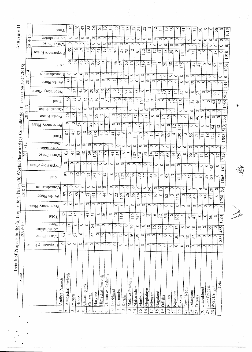|                                              |             |                   | Total              | 59                 |                    | $\frac{9}{10}$     | 47<br>ကို                                                                                                                                   | $\frac{9}{2}$        | $\overline{6}$       | $\Xi$                       | D                       |                                 |                 | $\frac{29}{278}$    | $\overline{C}$            | $\overline{\infty}$ | $\mathcal{Z}$         | $\overline{4}$                     | $\tilde{c}$                   |                |                    | $\frac{8}{3}$         | ∞                  | $\forall t$        |                    | $\overline{5}$            | $\tilde{\infty}$         | ഗ                  | $\circ$                         | 58                             | $\circ$                         | 1010                         |
|----------------------------------------------|-------------|-------------------|--------------------|--------------------|--------------------|--------------------|---------------------------------------------------------------------------------------------------------------------------------------------|----------------------|----------------------|-----------------------------|-------------------------|---------------------------------|-----------------|---------------------|---------------------------|---------------------|-----------------------|------------------------------------|-------------------------------|----------------|--------------------|-----------------------|--------------------|--------------------|--------------------|---------------------------|--------------------------|--------------------|---------------------------------|--------------------------------|---------------------------------|------------------------------|
| Annexure-I                                   | ᠃           | gonepiloano2      |                    | $\circ$            |                    | $\circ$            | $\circ$<br>$\circ$                                                                                                                          | $\circ$              | $\circ$              | ≎                           | ∣⇔                      | $\mathbb C$                     | Φ               | $\circ$             | $\circ$                   | $\circlearrowright$ | $\circ$               | $\circ$                            | $\Rightarrow$                 | $\circ$        | $\circ$            | $\circ$               | $\circ$            | $\circ$            | $\circ$            | $\circ$                   | $\circ$                  | Ò                  | $\circ$                         | $\circ$                        | $\circ$                         | $\overline{\bullet}$         |
|                                              | $2014 - 1$  | Works Phase       |                    | $\circ$            |                    | 0<br>$\circ$       | $\circ$                                                                                                                                     | $\circ$              | $\circ$              | $\circ$                     | lo                      | $\circ$                         | 5               | $\circ$             | $\circ$                   | $\circ$             | ਠ                     | $\circ$                            | O                             | $\circ$        | $\circ$            | $\circ$               | $\circ$            | $\circ$            | $\circ$            | $\circ$                   | $\circ$                  | $\circ$            | $\circ$                         | $\circ$                        | ञि                              | $\circ$                      |
|                                              |             | Preparatory Phase |                    | 59                 | $\frac{9}{1}$      | 47                 | 33                                                                                                                                          | 26                   | $\overline{\circ}$   | $\Xi$                       |                         | 29                              | $\overline{5}$  | 78                  | $\overline{2}$            | $\overline{\infty}$ | $\tilde{\mathcal{L}}$ | $\Xi$                              | $\overline{C}$                |                | ς,                 | 38                    | $\infty$           | $\overline{4}$     | ⇉                  | $\overline{\overline{m}}$ | $\Im$                    | Ö                  | $\circ$                         | 58                             | 0                               | $\overline{010}$             |
|                                              |             |                   | leioT              | 56                 | $97\,$             | 45                 | 26                                                                                                                                          | $\sqrt{29}$          | $\odot$              |                             | 25                      |                                 | $\frac{46}{27}$ | 63                  | $\supseteq$               | $\mathcal{L}$       | $\frac{6}{10}$        | $\overline{\omega}$                |                               | $\overline{4}$ | $\overline{20}$    | 38                    | $\overline{4}$     | $\mathfrak{Z}$     | 0                  | 59                        | $\overline{4}$           | ∞                  | $\circ$                         | 67                             | $\frac{44}{3}$                  | 1051                         |
|                                              | $2013 - 14$ | Consolidation     |                    | $\circ$            | $\circ$            | $\circ$            | $\overline{\circ}$                                                                                                                          | $\overline{\circ}$   | $\overline{\circ}$   | $\overline{\circ}$          | ∣⇔                      | $\circ$                         | $\circ$         | $\circ$             | $\circ$                   | $\circ$             | $\circ$               | $\circ$                            | $\circ$                       | $\circ$        | $\ddot{\circ}$     | $\overline{\circ}$    | $\circ$            | $\overline{\circ}$ | $\ddot{\circ}$     | $\bar{\circ}$             | $\circ$                  | $\circ$            | $\circ$                         | $\circ$                        | $\circ$                         | $\ddot{\circ}$               |
|                                              |             | Works Phase       |                    | 56                 | 0                  | 0                  | $\circ$                                                                                                                                     | $\circ$              | $\circ$              | $\circ$                     | ∣⇔                      | $\frac{1}{4}$                   | ¢               | $\circ$             | $\circ$                   | $\circ$             | $\circ$               | $\circ$                            | $\circ$                       | O              | $\circ$            | $\overline{\circ}$    | $\circ$            | $\circ$            | $\circ$            | $\overline{39}$           | $\circ$                  | $\infty$           | $\circ$                         | $\circ$                        | $\circ$                         | 144                          |
|                                              |             | Preparatory Phase |                    | $\circ$            | 95                 | 45                 |                                                                                                                                             | $\frac{26}{29}$      | $\mathcal{S}$        | $\frac{15}{2}$              |                         | $\frac{2}{5}$                   |                 | $\mathcal{C}$       | $\supseteq$               | 73                  | $\frac{6}{11}$        | $\Xi$                              | $\mathbb{Z}$                  | $\Xi$          | 20                 | 38                    | $\overline{4}$     | 135                | $\circ$            | $\circ$                   | $\mathfrak{Z}$           | $\circ$            | $\circ$                         | 67                             | $\overline{44}$                 |                              |
| Consolidation Phase (as on 30.11.2016)       |             | [010]             |                    | $\mathfrak{R}$     | 28                 | 국                  |                                                                                                                                             | $\frac{3}{27}$       | $ \mathfrak{D} $     |                             | $\overline{\mathbb{R}}$ | $\mathfrak{D}$                  | $\mathfrak{D}$  | 68                  | $\frac{20}{25}$           |                     |                       |                                    | $\frac{5}{2}$                 |                |                    | $\mathfrak{H}$        | $ \Xi $            | 145                | $\omega$           |                           | $\frac{6}{5}$            | $\Box$             | $\infty$                        | $\mathfrak{F}$                 | $\sqrt{2}$                      | 903                          |
|                                              |             | Consolidation     |                    | $\circ$            | $\circ$            | $\circ$            | $\circ$                                                                                                                                     | $\circlearrowright$  | $\circ$              | $\circ$                     | ⇨                       | $\circ$                         | $\circ$         | $\circ$             | $\circ$                   | $\circ$             | $\circ$               | $\circ$                            | $\circ$                       | $\circ$        | $\circ$            | $\circ$               | $\circ$            | $\circ$            | $\circ$            | $\circ$                   | $\circ$                  | $\circ$            | $\circ$                         | $\circ$                        | $\circ$                         | 1066<br>$\overline{\bullet}$ |
|                                              | $2012 - 13$ | Works Phase       |                    | 95                 | 28                 | $\circ$            | 24                                                                                                                                          | $\circ$              | 59                   | $\tilde{=}$                 | $\frac{1}{2}$           | 43                              | $\mathfrak{D}$  | 68                  | $\circ$                   | 57                  | $\ddot{\circ}$        | $\overline{15}$                    | $\circ$                       | $\circ$        | $\overline{1}$     | 39                    | $\circ$            | $\circ$            | $\circ$            | $\mathfrak{L}$            | $\overline{46}$          | $\overline{1}$     | $\infty$                        | $\circ$                        | $\circ$                         | 553                          |
|                                              |             | Preparatory Phase |                    | $\circ$            | 0                  | 54                 | $\circ$                                                                                                                                     | $\overline{27}$      | $\circ$              | $\circ$                     | ∣⇔                      | $\circ$                         | $\circ$         | $\circ$             | $\overline{5}$            | $\Rightarrow$       | 120                   | $\circ$                            | $\frac{11}{2}$                |                |                    | 0014                  |                    | $\sim$             |                    | $\circ$                   | $\circ$                  | $\overline{\circ}$ | $\circ$                         | 3                              | 42                              | 513                          |
|                                              |             | leto <sup>T</sup> |                    | 102                | $\triangleq$       | $\infty$           | $\frac{1}{2}$                                                                                                                               | $\mathcal{S}^9$      | 38                   | $\mathcal{L}_{\mathcal{P}}$ | $\sqrt{5}$              | $\overline{+}$                  | $\frac{45}{3}$  | $\overline{9}$      | $\sum$                    | $\equiv$            | 215                   | 33                                 | $\overline{4}$                | $\overline{1}$ | 50                 | 68<br>$\overline{4}$  | 229                |                    | $\sim$             | 있                         | $\overline{7}$           | $\Box$             | $\overline{\phantom{0}}$        | $\mathcal{L}$<br>$\frac{7}{7}$ |                                 |                              |
|                                              |             | ञ्ज्ञध्पत         |                    | $\overline{\circ}$ | $\circ$            | $\circ$            | $\overline{\circ}$                                                                                                                          | $\overline{\circ}$   | $\circ$              | $\circ$   $\circ$           |                         |                                 |                 |                     |                           |                     |                       |                                    |                               |                |                    |                       |                    |                    |                    |                           |                          |                    |                                 |                                |                                 | 898                          |
| 2011-12                                      |             | monippinosito.    |                    |                    |                    | 83                 |                                                                                                                                             |                      |                      |                             |                         | $\circ$                         | $\circ$         | $\overline{\circ}$  | $\overline{\circ}$        | $\overline{\circ}$  | $\circ$               | $\circ$                            | $\circ$                       | 10             | $\overline{\circ}$ | ा                     | $\circ$            | $\overline{\circ}$ | $\overline{\circ}$ | $\circ$                   |                          | $\circ$            | $\circ$                         | ाञ                             | $\bullet$                       |                              |
|                                              |             | Works Phase       |                    | $\frac{1}{2}$      | 4                  |                    | $\Theta$                                                                                                                                    | $\frac{6}{9}$        | $38$<br>47           | $\sqrt{5}$                  |                         | $\frac{45}{5}$<br>$\frac{1}{4}$ |                 | 116                 | $\overline{51}$           | 107                 | 214                   | 33                                 | $\overline{1}$<br>$\vert \Xi$ | $\overline{c}$ | 8 <sup>9</sup>     | 프                     | 229                | $\circ$            | 56                 | $\widetilde{\mathcal{L}}$ |                          | $\equiv$           | $\frac{8}{18}$                  | $\circ$<br>11                  | īΩ,<br>$\vec{r}$                |                              |
|                                              |             | Preparatory Phase |                    | $\circ$            | $\circ$            | $\circ$            | $\circ$                                                                                                                                     | $\circ$              | $\circ$<br>$\circ$   | $\circ$                     | $\circ$                 | $\circ$                         |                 | $\circ$             | $\circ$                   | $\circ$             | ం∣                    | 00                                 | $\circ$                       | $\circ$        |                    | ञञञि                  |                    |                    | $\circ$            | $\circ$                   | $\circ$                  |                    | $\frac{8}{58}$                  | $\circ$                        | 161                             |                              |
| (b) Works Phase and (c)                      |             | 1010              |                    | 97                 | 32                 | 86                 | $\circ$<br>$\overline{7}$                                                                                                                   | $\frac{4}{3}$        |                      | $\frac{4}{2}$               | $\circ$                 |                                 | $2\sqrt{27}$    |                     | 26<br>99                  | 370                 |                       | $\overline{27}$<br>$\overline{29}$ | $\vert 6 \vert$               | $\frac{1}{2}$  | $\Im$              | $\overline{1}$        | 213                | $\sim$             | $\mathcal{O}$      | 74                        | $\supseteq$              | 39                 | $83\,$                          | $\circ$                        | 865                             |                              |
|                                              |             | Consolidation     |                    | $\circ$            | $\circ$            | $\overline{\circ}$ | $\overline{\circ}$<br>$\overline{\circ}$                                                                                                    | $\overline{\circ}$   | $\circ$              | ∣⇔                          | $\circ$                 | $\circ$                         | $\circ$         | $\circ$             | $\circ$                   | $\overline{\circ}$  | $\circ$               | $\overline{29}$                    | $\overline{\circ}$            | $\overline{9}$ | $\circ$            | $\circ$               | $\overline{\circ}$ | $\circ$            | $\overline{O}$     | $ \infty $                | $\overline{\mathcal{A}}$ | ⇔                  |                                 | 0                              |                                 |                              |
| $2010-1$                                     |             | Works Phase       | 57                 | 32                 |                    | 86                 | 0<br>$\overline{r}$                                                                                                                         | $\Xi$                | 0                    | $\ddot{4}$                  | 0                       |                                 | $\frac{22}{27}$ | $ \mathscr{E} $     | 86                        | 359                 | $\overline{27}$       | $\circ$                            | $\overline{91}$               | $\circ$        | $\mathcal{O}$      | $\overline{2}$        | 213                | ⇨                  | $\mathcal{L}$      | 69                        | $\circ$                  | 36                 | $\overline{20}$<br>$\mathbb{S}$ | $\overline{\circ}$             | $\overline{\mathbf{3}}$<br>1758 |                              |
| eparatory Phase,                             |             | Preparatory Phase | $\circ$            |                    | $\circ$<br>$\circ$ | $\circ$            | $\circ$                                                                                                                                     | $\circ$              |                      | $\circ$   $\circ$           | O                       | $\circ$                         | $\circ$         | $\circ$             | $\circ$                   | $\circ$             | $\circ$               | $\circ$                            | $\circ$                       | $\circ$        | $\circ$            | $\circ$               | $\circ$            | $\sim$             | $\circ$            | $\circ$                   | $\circ$                  | $\circ$            | $\circ$                         | $\subset$                      | $\overline{ }$                  |                              |
|                                              |             | IetoT             | $\circ$            | $\sim$             |                    |                    | $\frac{1}{2}$ $\frac{1}{2}$ $\frac{1}{2}$ $\frac{1}{2}$ $\frac{1}{2}$ $\frac{1}{2}$ $\frac{1}{2}$ $\frac{1}{2}$ $\frac{1}{2}$ $\frac{1}{2}$ |                      |                      |                             |                         |                                 |                 |                     | $\sqrt{16}$               | 243                 |                       | $\frac{8}{1}$                      | $\overline{6}$                | 22             | 65                 | 0                     | 62                 | $\epsilon$         | $50\,$             | 48                        | $\overline{10}$          | $\circ$            | $\overline{66}$                 | $\overline{\circ}$             |                                 |                              |
|                                              |             | 22.5              | $\circ$            | $\overline{13}$    | $\circ$            | $\circ$            | $\circ$                                                                                                                                     | 54                   | $\circ$              | 10                          | $\circ$                 | $\circ$                         | $\circ$         | $\circ$             |                           | $\ddot{\circ}$      | ం                     |                                    |                               |                |                    |                       |                    |                    |                    |                           |                          |                    |                                 |                                | 1324                            |                              |
| 2009-1                                       |             | Consolidation     | $\mathcal{L}$      | $\circ$            | 57                 | $\circ$            |                                                                                                                                             |                      | $\circ$              | $\frac{1}{2}$               | $\circ$                 |                                 |                 | $\circ$             | 79                        |                     | ≎                     | $\overline{18}$                    | $\overline{a}$                | 22             | $\overline{65}$    | $\circ$               | $\mathfrak{L}$     | $\circ$            | $\circ$            | $\supseteq$               | $\supseteq$              | $\circ$            | $\mathcal{S}$                   | 0                              | 485                             |                              |
|                                              |             | Works Phase       | $\overline{\circ}$ | $\circ$            | $\circ$            | $\circ$            | $\overline{\overline{d}}$<br>$\circ$                                                                                                        | $\overline{97}$<br>O |                      |                             |                         | $\overline{20}$                 | $\frac{1}{1}$   |                     | $\widetilde{\mathcal{L}}$ | 239                 |                       | $\circ$                            | $\circ$                       | $\circ$        | $\circ$            | $\circ$               | $\overline{50}$    | $\sim$             | 50                 | $\overline{37}$           | $\circ$                  | $\circ$            | $\circ$                         | 10                             | 833                             |                              |
|                                              |             | Preparatory Phase |                    |                    |                    |                    |                                                                                                                                             |                      | $\circ$              | $\circ$                     | $\circ$                 | $\circ$                         | $\circ$         | $\mathbb C$         | $\mathbb{C}$              | $\circ$             | $\circ$               | $\circ$                            | $\circ$                       | $\circ$        | $\circ$            | $\ddot{\circ}$        | $\circ$            | $\overline{\circ}$ | $\circ$            | $\circlearrowright$       | $\ddot{\circ}$           | $\circ$            | $\circ$                         | $\Rightarrow$                  | $\bullet$                       |                              |
| Details of Projects in the $(a)$ Pr<br>State |             |                   | Andhra Pradesh     | Arunachal Pradesh  |                    |                    | Chhattisgarh                                                                                                                                |                      |                      | Pradesh                     | Jammu & Kashmir         |                                 |                 |                     | Madhya Prades!            | Maharashtra         |                       |                                    |                               |                |                    |                       |                    |                    | Tamil Nadu         |                           |                          | Uttarakhand        | Uttar Pradesh                   | West Bengal                    | Total                           |                              |
|                                              |             |                   |                    |                    | Assam              | Bihar              |                                                                                                                                             | Gujarat              | Haryana              | Himachal                    |                         | Jharkhand                       | Karnataka       | Kerala              |                           |                     | Manipur               | Meghalaya                          | Mizoram                       | Nagaland       | Odisha             | Punjab                | Rajasthan          | Sikkim             |                    | Telangana                 | Tripura                  |                    |                                 |                                |                                 |                              |
|                                              |             |                   |                    | $\bigcap$          | $\sim$             | 4                  | ١r.                                                                                                                                         | Ó                    | $\overline{r}$<br> ≫ |                             | Ò.                      | $\supseteq$                     |                 | $\overline{\Omega}$ | $\overline{\Omega}$       | $\frac{1}{4}$       | $\overline{5}$        | $\frac{1}{2}$                      | $\overline{ }$                | $\leq$         | $\supseteq$        | 20<br>$\overline{21}$ | $\mathbb{C}^1$     | $\mathfrak{S}$     |                    | 24                        | Ń                        | 26 <sup>1</sup>    |                                 | $\infty$                       |                                 |                              |

 $\hat{\mathfrak{G}}$ 

Ž